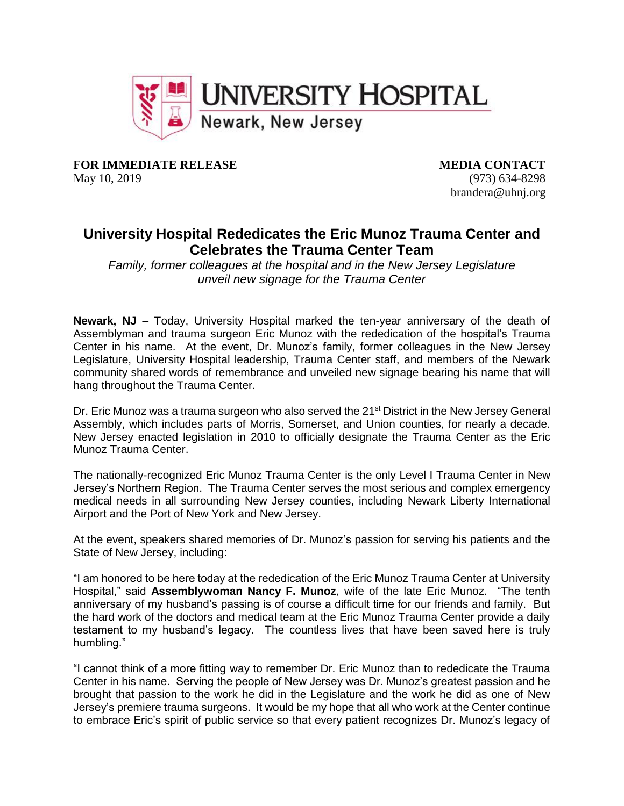

**FOR IMMEDIATE RELEASE MEDIA CONTACT** 

May 10, 2019 (973) 634-8298 brandera@uhnj.org

## **University Hospital Rededicates the Eric Munoz Trauma Center and Celebrates the Trauma Center Team**

*Family, former colleagues at the hospital and in the New Jersey Legislature unveil new signage for the Trauma Center*

**Newark, NJ –** Today, University Hospital marked the ten-year anniversary of the death of Assemblyman and trauma surgeon Eric Munoz with the rededication of the hospital's Trauma Center in his name. At the event, Dr. Munoz's family, former colleagues in the New Jersey Legislature, University Hospital leadership, Trauma Center staff, and members of the Newark community shared words of remembrance and unveiled new signage bearing his name that will hang throughout the Trauma Center.

Dr. Eric Munoz was a trauma surgeon who also served the 21<sup>st</sup> District in the New Jersey General Assembly, which includes parts of Morris, Somerset, and Union counties, for nearly a decade. New Jersey enacted legislation in 2010 to officially designate the Trauma Center as the Eric Munoz Trauma Center.

The nationally-recognized Eric Munoz Trauma Center is the only Level I Trauma Center in New Jersey's Northern Region. The Trauma Center serves the most serious and complex emergency medical needs in all surrounding New Jersey counties, including Newark Liberty International Airport and the Port of New York and New Jersey.

At the event, speakers shared memories of Dr. Munoz's passion for serving his patients and the State of New Jersey, including:

"I am honored to be here today at the rededication of the Eric Munoz Trauma Center at University Hospital," said **Assemblywoman Nancy F. Munoz**, wife of the late Eric Munoz. "The tenth anniversary of my husband's passing is of course a difficult time for our friends and family. But the hard work of the doctors and medical team at the Eric Munoz Trauma Center provide a daily testament to my husband's legacy. The countless lives that have been saved here is truly humbling."

"I cannot think of a more fitting way to remember Dr. Eric Munoz than to rededicate the Trauma Center in his name. Serving the people of New Jersey was Dr. Munoz's greatest passion and he brought that passion to the work he did in the Legislature and the work he did as one of New Jersey's premiere trauma surgeons. It would be my hope that all who work at the Center continue to embrace Eric's spirit of public service so that every patient recognizes Dr. Munoz's legacy of